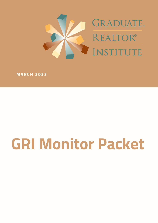

**M ARCH 2 0 2 2**

# **GRI Monitor Packet**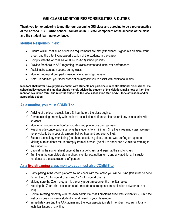# **GRI CLASS MONITOR RESPONSIBILITIES & DUTIES**

**Thank you for volunteering to monitor our upcoming GRI class and agreeing to be a representative of the Arizona REALTORS® school. You are an INTEGRAL component of the success of the class and the student learning experience.**

### **Monitor Responsibilities:**

- Ensure ADRE continuing education requirements are met (attendance, signatures on sign-in/out sheet, and the attentiveness/participation of the students in the class).
- Comply with the Arizona REALTORS<sup>®</sup> (AZR) school policies.
- Provide feedback to AZR regarding the class content and instructor performance.
- Assist instructors as needed, during class.
- Monitor Zoom platform performance (live streaming classes).
- Note: In addition, your local association may ask you to assist with additional duties.

**Monitors shall never have physical contact with students nor participate in confrontational discussions. If a school policy occurs, the monitor should merely advise the student of the violation, make note of it on the monitor evaluation form, and refer the student to the local association staff or AZR for clarification and/or appropriate action.**

### **As a monitor, you must COMMIT to:**

- $\checkmark$  Arriving at the local association a 1/2 hour before the class begins.
- $\checkmark$  Communicating promptly with the local association staff and/or instructor if any issues arise with students.
- $\checkmark$  Monitoring student attention/participation (no phone use during class).
- $\checkmark$  Keeping side conversations among the students to a minimum (In a live streaming class, we may not physically be in your classroom, but we hear and see everything).
- $\checkmark$  Student technology monitoring (no phone use during class, and no web surfing on laptops).
- $\checkmark$  Making sure students return promptly from all breaks. (helpful to announce a 2 minute warning to the students).
- $\checkmark$  Circulating the sign-in sheet once at the start of class, and again at the end of class.
- $\checkmark$  Turning in the completed sign in sheet, monitor evaluation form, and any additional instructor handouts to the association staff person.

## **As a live streaming class monitor, you must also COMMIT to:**

- $\checkmark$  Participating in the Zoom platform sound check with the laptop you will be using (this must be done during the 8:15 AV sound check and 12:15 AV sound check).
- $\checkmark$  Making sure the Zoom program is the only program open on the monitor laptop.
- $\checkmark$  Keeping the Zoom chat box open at all times (to ensure open communication between us and you).
- $\checkmark$  Communicating promptly with the AAR admin via chat if problems arise with students/AV, OR if the instructor does not see a student's hand raised in your classroom.
- $\checkmark$  Immediately alerting the AAR admin and the local association staff member if you run into any technical issues at any time.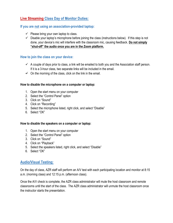## **Live Streaming Class Day of Monitor Duties:**

#### **If you are not using an association-provided laptop:**

- $\checkmark$  Please bring your own laptop to class.
- $\checkmark$  Disable your laptop's microphone before joining the class (instructions below). If this step is not done, your device's mic will interfere with the classroom mic, causing feedback. **Do not simply "shut-off" the audio once you are in the Zoom platform.**

#### **How to join the class on your device:**

- $\checkmark$  A couple of days prior to class, a link will be emailed to both you and the Association staff person. If it is a 3-hour class, two separate links will be included in the email.
- $\leftarrow$  On the morning of the class, click on the link in the email.

#### **How to disable the microphone on a computer or laptop:**

- 1. Open the start menu on your computer
- 2. Select the "Control Panel" option
- 3. Click on "Sound"
- 4. Click on "Recording"
- 5. Select the microphone listed, right click, and select "Disable"
- 6. Select "OK"

#### **How to disable the speakers on a computer or laptop:**

- 1. Open the start menu on your computer
- 2. Select the "Control Panel" option
- 3. Click on "Sound"
- 4. Click on "Playback"
- 5. Select the speakers listed, right click, and select "Disable"
- 6. Select "OK"

#### **Audio/Visual Testing:**

On the day of class, AZR staff will perform an A/V test with each participating location and monitor at 8:15 a.m. (morning class) and 12:15 p.m. (afternoon class).

Once the A/V check is complete, the AZR class administrator will mute the host classroom and remote classrooms until the start of the class. The AZR class administrator will unmute the host classroom once the instructor starts the presentation.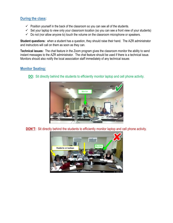## **During the class:**

- $\checkmark$  Position yourself in the back of the classroom so you can see all of the students.
- $\checkmark$  Set your laptop to view only your classroom location (so you can see a front view of your students)
- $\checkmark$  Do not (nor allow anyone to) touch the volume on the classroom microphone or speakers.

**Student questions:** when a student has a question, they should raise their hand. The AZR administrator and instructors will call on them as soon as they can.

**Technical issues:** The chat feature in the Zoom program gives the classroom monitor the ability to send instant messages to the AZR administrator. The chat feature should be used if there is a technical issue. Monitors should also notify the local association staff immediately of any technical issues

### **Monitor Seating:**





**DON'T:** Sit directly behind the students to efficiently monitor laptop and cell phone activity.

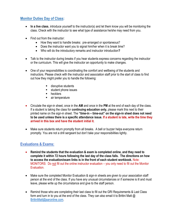## **Monitor Duties Day of Class:**

- **In a live class**, introduce yourself to the instructor(s) and let them know you will be monitoring the class. Check with the instructor to see what type of assistance he/she may need from you*.*
- Find out from the instructor:
	- How they want to handle breaks: pre-arranged or spontaneous?
	- Does the instructor want you to signal him/her when it is break time?
	- Who will do the introductory remarks and instructor introduction**?**
- Talk to the instructor during breaks if you hear students express concerns regarding the instructor or the curriculum. This will give the instructor an opportunity to make changes.
- One of your responsibilities is coordinating the comfort and wellbeing of the students and instructors. Please check with the instructor and association staff prior to the start of class to find out how they might prefer you to handle the following:
	- disruptive students
	- student phone issues
	- hecklers
	- air temperature
- Circulate the sign-in sheet, once in the **AM** and once in the **PM** at the end of each day of the class. If a student is taking the class for **continuing education only,** please mark this next to their printed name on the sign-in sheet. The **"time-in – time-out" on the sign-in sheet does not need to be used unless there is a specific attendance issue. If a student is late, write the time they arrived in this box and have the student initial it.**
- Make sure students return promptly from all breaks. A bell or buzzer helps everyone return promptly. You are not a drill sergeant but don't take your responsibilities lightly.

## **Evaluations & Exams:**

- **Remind the students that the evaluation & exam is completed online, and they need to complete it within 72 hours following the last day of the class falls. The directions on how to access the evaluation/exam links is in the front of each student workbook.** Note: MONITORS: Do not fill out the online instructor evaluation – you only need to fill out the Monitor Evaluation.
- Make sure the completed Monitor Evaluation & sign-in sheets are given to your association staff person at the end of the class. If you have any unusual circumstances or if someone is ill and must leave, please write up the circumstance and give to the staff person.
- Remind those who are completing their last class to fill out the GRI Requirements & Last Class form and turn in to you at the end of the class. They can also email it to Brittni Matt  $\omega$ [BrittniMatt@aaronline.com.](mailto:BrittniMatt@aaronline.com)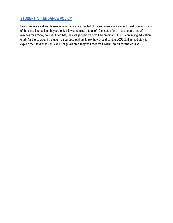## **STUDENT ATTENDANCE POLICY**

Promptness as well as classroom attendance is expected. If for some reason a student must miss a portion of the class instruction, they are only allowed to miss a total of 10 minutes for a 1-day course and 20 minutes for a 2-day course. After that, they will jeopardize both GRI credit and ADRE continuing education credit for the course. If a student disagrees, let them know they should contact AZR staff immediately to explain their tardiness - **this will not guarantee they will receive GRI/CE credit for the course.**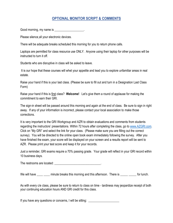## **OPTIONAL MONITOR SCRIPT & COMMENTS**

Good morning, my name is  $\sim$ 

Please silence all your electronic devices.

There will be adequate breaks scheduled this morning for you to return phone calls.

Laptops are permitted for class resource use ONLY. Anyone using their laptop for other purposes will be instructed to turn it off.

Students who are disruptive in class will be asked to leave.

It is our hope that these courses will whet your appetite and lead you to explore unfamiliar areas in real estate.

Raise your hand if this is your last class. (Please be sure to fill out and turn in a Designation Last Class Form)

Raise your hand if this is first class? **Welcome!**Let's give them a round of applause for making the commitment to earn their GRI.

The sign-in sheet will be passed around this morning and again at the end of class. Be sure to sign in right away. If any of your information is incorrect, please contact your local association to make those corrections.

It is very important to the GRI Workgroup and AZR to obtain evaluations and comments from students regarding the instructors' presentations. Within 72 hours after completing the class, go to [www.AZGRI.com.](http://www.azgri.com/) Click on "My GRI" and select the link for your class. (Please make sure you are filling out the correct survey). You will be directed to the online open book exam immediately following the survey. After you have finished the exam, your score will be displayed on your screen and a results report will be sent to AZR. Please print your test score and keep it for your records.

Just a reminder, GRI exams require a 70% passing grade. Your grade will reflect in your GRI record within 10 business days.

The restrooms are located:  $\blacksquare$ 

We will have minute breaks this morning and this afternoon. There is for lunch.

As with every c/e class, please be sure to return to class on time - tardiness may jeopardize receipt of both your continuing education hours AND GRI credit for this class.

If you have any questions or concerns, I will be sitting: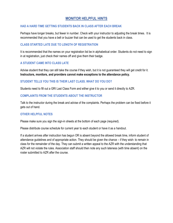## **MONITOR HELPFUL HINTS**

#### **HAD A HARD TIME GETTING STUDENTS BACK IN CLASS AFTER EACH BREAK**

Perhaps have longer breaks, but fewer in number. Check with your instructor to adjusting the break times. It is recommended that you have a bell or buzzer that can be used to get the students back in class.

#### **CLASS STARTED LATE DUE TO LENGTH OF REGISTRATION**

It is recommended that the names on your registration list be in alphabetical order. Students do not need to sign in at registration, just check their names off and give them their badge.

#### **A STUDENT CAME INTO CLASS LATE**

Advise student that they can still take the course if they wish, but it is not guaranteed they will get credit for it. **Instructors, monitors, and providers cannot make exceptions to the attendance policy.**

#### **STUDENT TELLS YOU THIS IS THEIR LAST CLASS. WHAT DO YOU DO?**

Students need to fill out a GRI Last Class Form and either give it to you or send it directly to AZR.

#### **COMPLAINTS FROM THE STUDENTS ABOUT THE INSTRUCTOR**

Talk to the instructor during the break and advise of the complaints. Perhaps the problem can be fixed before it gets out of hand.

#### **OTHER HELPFUL NOTES**

Please make sure you sign the sign-in sheets at the bottom of each page (required).

Please distribute course schedule for current year to each student or have it as a handout.

If a student arrives after instruction has begun OR is absent beyond the allowed break time, inform student of attendance guidelines and of appropriate action. They should be given the chance – if they wish- to remain in class for the remainder of the day. They can submit a written appeal to the AZR with the understanding that AZR will not violate the rules. Association staff should then note any such lateness (with time absent) on the roster submitted to AZR after the course.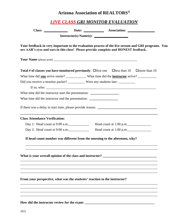# **Arizona Association of REALTORS®**

## *LIVE CLASS GRI MONITOR EVALUATION*

|                                                                                   | Your feedback in very important to the evaluation process of the live stream and GRI programs. You<br>are AAR's eyes and ears in this class! Please provide complete and HONEST feedback. |
|-----------------------------------------------------------------------------------|-------------------------------------------------------------------------------------------------------------------------------------------------------------------------------------------|
|                                                                                   |                                                                                                                                                                                           |
|                                                                                   | <b>Total # of classes you have monitored previously:</b> $\Box$ first one $\Box$ less than 10 $\Box$ more than 10                                                                         |
|                                                                                   | What time did you arrive onsite? What time did the <b>instructor</b> arrive?                                                                                                              |
|                                                                                   | Did you receive a monitor packet? __________ Were any students late: __________                                                                                                           |
|                                                                                   |                                                                                                                                                                                           |
| What time did the instructor start the presentation: ____________________________ |                                                                                                                                                                                           |
| What time did the instructor end the presentation:                                |                                                                                                                                                                                           |
|                                                                                   | <u> 1989 - Johann John Stone, market fan de ferskearre fan de ferskearre fan de ferskearre fan de ferskearre fan</u>                                                                      |
| <b>Class Attendance Verification:</b>                                             |                                                                                                                                                                                           |
| Day 1: Head count at 9:00 a.m.                                                    | Head count at $1:00$ p.m.                                                                                                                                                                 |
| Day 2: Head count at $9:00$ a.m.                                                  | Head count at $1:00$ p.m.                                                                                                                                                                 |
|                                                                                   | If head count number was different from the morning to the afternoon, why?<br>,我们也不能在这里的时候,我们也不能在这里的时候,我们也不能会在这里的时候,我们也不能会在这里的时候,我们也不能会在这里的时候,我们也不能会在这里的时候,我们也不                           |
|                                                                                   | What is your overall opinion of the class and instructor? _______________________                                                                                                         |
| From your perspective, what was the students' reaction to the instructor?         |                                                                                                                                                                                           |
|                                                                                   |                                                                                                                                                                                           |
|                                                                                   |                                                                                                                                                                                           |
|                                                                                   |                                                                                                                                                                                           |

**How did the instructor review for the exam: \_\_\_\_\_\_\_\_\_\_\_\_\_\_\_\_\_\_\_\_\_\_\_\_\_\_\_\_\_\_\_\_\_\_\_\_\_\_\_\_\_**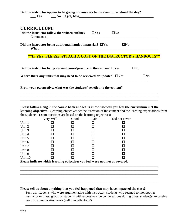|                    |                                                                            |      |            | Did the instructor appear to be giving out answers to the exam throughout the day?<br><u>Solution No If yes, how and the set of the set of the set of the set of the set of the set of the set of the set of the set of the set of the set of the set of the set of the set of the set of the set of the set of the se</u> |           |
|--------------------|----------------------------------------------------------------------------|------|------------|----------------------------------------------------------------------------------------------------------------------------------------------------------------------------------------------------------------------------------------------------------------------------------------------------------------------------|-----------|
| <b>CURRICULUM:</b> |                                                                            |      |            |                                                                                                                                                                                                                                                                                                                            |           |
|                    | Did the instructor follow the written outline?                             |      | $\Box$ Yes | $\square$ No                                                                                                                                                                                                                                                                                                               |           |
|                    | Did the instructor bring additional handout material? $\Box$ Yes           |      |            | $\Box$ No                                                                                                                                                                                                                                                                                                                  |           |
|                    |                                                                            |      |            | <b>**IF YES, PLEASE ATTACH A COPY OF THE INSTRUCTOR'S HANDOUTS**</b>                                                                                                                                                                                                                                                       |           |
|                    | Did the instructor bring current issues/practice to the course? $\Box$ Yes |      |            |                                                                                                                                                                                                                                                                                                                            | $\Box$ No |
|                    | Where there any units that may need to be reviewed or updated: $\Box$ Yes  |      |            |                                                                                                                                                                                                                                                                                                                            | $\Box$ No |
|                    | From your perspective, what was the students' reaction to the content?     |      |            |                                                                                                                                                                                                                                                                                                                            |           |
|                    |                                                                            |      |            |                                                                                                                                                                                                                                                                                                                            |           |
|                    |                                                                            |      |            | Please follow along in the course book and let us know how well you feel the curriculum met the                                                                                                                                                                                                                            |           |
|                    | the students. Exam questions are based on the learning objectives)         |      |            | learning objectives: (learning objectives set the direction of the content and the learning expectations from                                                                                                                                                                                                              |           |
|                    | Very Well                                                                  | Good | Fair       | Did not cover                                                                                                                                                                                                                                                                                                              |           |

|                                                                             | very well | Good | Fair | Did not cover |  |  |
|-----------------------------------------------------------------------------|-----------|------|------|---------------|--|--|
| Unit 1                                                                      |           |      |      |               |  |  |
| Unit 2                                                                      |           |      |      |               |  |  |
| Unit 3                                                                      |           |      |      |               |  |  |
| Unit 4                                                                      |           |      |      |               |  |  |
| Unit 5                                                                      |           |      |      |               |  |  |
| Unit 6                                                                      |           |      |      |               |  |  |
| Unit 7                                                                      |           |      |      |               |  |  |
| Unit 8                                                                      |           |      |      |               |  |  |
| Unit 9                                                                      |           |      |      |               |  |  |
| Unit 10                                                                     |           |      |      |               |  |  |
| Please indicate which learning objectives you feel were not met or covered. |           |      |      |               |  |  |

#### **Please tell us about anything that you feel happened that may have impacted the class?**

\_\_\_\_\_\_\_\_\_\_\_\_\_\_\_\_\_\_\_\_\_\_\_\_\_\_\_\_\_\_\_\_\_\_\_\_\_\_\_\_\_\_\_\_\_\_\_\_\_\_\_\_\_\_\_\_\_\_\_\_\_\_\_\_\_\_\_\_\_\_\_\_\_\_\_\_\_\_\_\_\_ \_\_\_\_\_\_\_\_\_\_\_\_\_\_\_\_\_\_\_\_\_\_\_\_\_\_\_\_\_\_\_\_\_\_\_\_\_\_\_\_\_\_\_\_\_\_\_\_\_\_\_\_\_\_\_\_\_\_\_\_\_\_\_\_\_\_\_\_\_\_\_\_\_\_\_\_\_\_\_\_\_ \_\_\_\_\_\_\_\_\_\_\_\_\_\_\_\_\_\_\_\_\_\_\_\_\_\_\_\_\_\_\_\_\_\_\_\_\_\_\_\_\_\_\_\_\_\_\_\_\_\_\_\_\_\_\_\_\_\_\_\_\_\_\_\_\_\_\_\_\_\_\_\_\_\_\_\_\_\_\_\_\_ \_\_\_\_\_\_\_\_\_\_\_\_\_\_\_\_\_\_\_\_\_\_\_\_\_\_\_\_\_\_\_\_\_\_\_\_\_\_\_\_\_\_\_\_\_\_\_\_\_\_\_\_\_\_\_\_\_\_\_\_\_\_\_\_\_\_\_\_\_\_\_\_\_\_\_\_\_\_\_\_\_ \_\_\_\_\_\_\_\_\_\_\_\_\_\_\_\_\_\_\_\_\_\_\_\_\_\_\_\_\_\_\_\_\_\_\_\_\_\_\_\_\_\_\_\_\_\_\_\_\_\_\_\_\_\_\_\_\_\_\_\_\_\_\_\_\_\_\_\_\_\_\_\_\_\_\_\_\_\_\_\_\_

Such as: students who were argumentative with instructor, students who seemed to monopolize instructor or class, group of students with excessive side conversations during class, student(s) excessive use of communication tools (cell phone/laptops/)

\_\_\_\_\_\_\_\_\_\_\_\_\_\_\_\_\_\_\_\_\_\_\_\_\_\_\_\_\_\_\_\_\_\_\_\_\_\_\_\_\_\_\_\_\_\_\_\_\_\_\_\_\_\_\_\_\_\_\_\_\_\_\_\_\_\_\_\_\_\_\_\_\_\_\_\_\_\_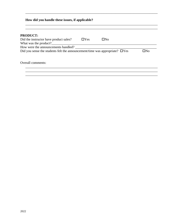#### How did you handle these issues, if applicable?

| <b>PRODUCT:</b>                                                                   |            |     |     |
|-----------------------------------------------------------------------------------|------------|-----|-----|
| Did the instructor have product sales?                                            | $\Box$ Yes | ΠNο |     |
| What was the product?                                                             |            |     |     |
| How were the announcements handled?                                               |            |     |     |
| Did you sense the students felt the announcement/time was appropriate? $\Box$ Yes |            |     | ΠNο |
| Overall comments:                                                                 |            |     |     |
|                                                                                   |            |     |     |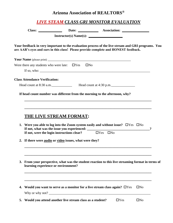## **Arizona Association of REALTORS®**

|  | Your feedback in very important to the evaluation process of the live stream and GRI programs. You<br>are AAR's eyes and ears in this class! Please provide complete and HONEST feedback. |  |
|--|-------------------------------------------------------------------------------------------------------------------------------------------------------------------------------------------|--|
|  |                                                                                                                                                                                           |  |

**\_\_\_\_\_\_\_\_\_\_\_\_\_\_\_\_\_\_\_\_\_\_\_\_\_\_\_\_\_\_\_\_\_\_\_\_\_\_\_\_\_\_\_\_\_\_\_\_\_\_\_\_\_\_\_\_\_\_\_\_\_\_\_\_\_\_\_\_\_\_\_\_\_\_\_**

**\_\_\_\_\_\_\_\_\_\_\_\_\_\_\_\_\_\_\_\_\_\_\_\_\_\_\_\_\_\_\_\_\_\_\_\_\_\_\_\_\_\_\_\_\_\_\_\_\_\_\_\_\_\_\_\_\_\_\_\_\_\_\_\_\_\_\_\_\_\_\_\_\_\_\_**

**If head count number was different from the morning to the afternoon, why?** 

# **THE LIVE STREAM FORMAT:**

| 1. Were you able to log into the Zoom system easily and without issue? $\Box$ Yes $\Box$ No<br>If not, were the login instructions clear? $\Box$ Yes $\Box$ No |              | ? |
|----------------------------------------------------------------------------------------------------------------------------------------------------------------|--------------|---|
| 2. If there were audio or video issues, what were they?                                                                                                        |              |   |
| 3. From your perspective, what was the student reaction to this live streaming format in terms of<br>learning experience or environment?                       |              |   |
| 4. Would you want to serve as a monitor for a live stream class again? $\Box$ Yes                                                                              | $\square$ No |   |
| 5. Would you attend another live stream class as a student?<br>$\Box$ Yes                                                                                      | $\square$ No |   |